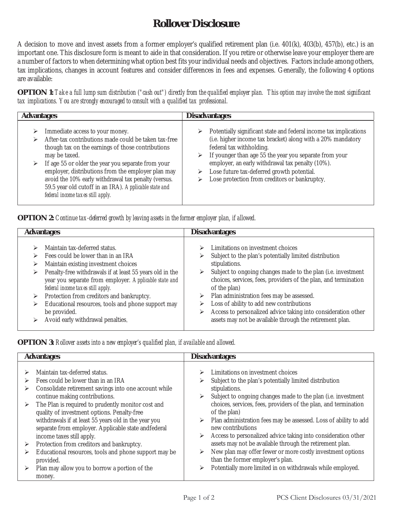## **Rollover Disclosure**

A decision to move and invest assets from a former employer's qualified retirement plan (i.e. 401(k), 403(b), 457(b), etc.) is an important one. This disclosure form is meant to aide in that consideration. If you retire or otherwise leave your employer there are a number of factors to when determining what option best fits your individual needs and objectives. Factors include among others, tax implications, changes in account features and consider differences in fees and expenses. Generally, the following 4 options are available:

**OPTION 1:** *Take a full lump sum distribution ("cash out") directly from the qualified employer plan. This option may involve the most significant tax implications. You are strongly encouraged to consult with a qualified tax professional.* 

| <b>Advantages</b>                                                                                                                                                                                                                                                                                                                                                                                                                             | <b>Disadvantages</b>                                                                                                                                                                                                                                                                                                                                                      |  |
|-----------------------------------------------------------------------------------------------------------------------------------------------------------------------------------------------------------------------------------------------------------------------------------------------------------------------------------------------------------------------------------------------------------------------------------------------|---------------------------------------------------------------------------------------------------------------------------------------------------------------------------------------------------------------------------------------------------------------------------------------------------------------------------------------------------------------------------|--|
| Immediate access to your money.<br>➤<br>After-tax contributions made could be taken tax-free<br>⋗<br>though tax on the earnings of those contributions<br>may be taxed.<br>If age 55 or older the year you separate from your<br>➤<br>employer, distributions from the employer plan may<br>avoid the 10% early withdrawal tax penalty (versus.<br>59.5 year old cutoff in an IRA). Applicable state and<br>federal income taxes still apply. | Potentially significant state and federal income tax implications<br>(i.e. higher income tax bracket) along with a 20% mandatory<br>federal tax withholding.<br>If younger than age 55 the year you separate from your<br>employer, an early withdrawal tax penalty (10%).<br>Lose future tax-deferred growth potential.<br>Lose protection from creditors or bankruptcy. |  |

**OPTION 2:** *Continue tax-deferred growth by leaving assets in the former employer plan, if allowed.* 

| <b>Advantages</b>                                        | <b>Disadvantages</b>                                            |  |
|----------------------------------------------------------|-----------------------------------------------------------------|--|
| Maintain tax-deferred status.                            | Limitations on investment choices                               |  |
| ⋗                                                        | ➤                                                               |  |
| Fees could be lower than in an IRA                       | Subject to the plan's potentially limited distribution          |  |
| ⋗                                                        | ⋗                                                               |  |
| Maintain existing investment choices                     | stipulations.                                                   |  |
| ⋗                                                        | Subject to ongoing changes made to the plan (i.e. investment    |  |
| Penalty-free withdrawals if at least 55 years old in the | ➤                                                               |  |
| ⋗                                                        | choices, services, fees, providers of the plan, and termination |  |
| year you separate from employer. Applicable state and    | of the plan)                                                    |  |
| federal income taxes still apply.                        | Plan administration fees may be assessed.                       |  |
| Protection from creditors and bankruptcy.                | ➤                                                               |  |
| ⋗                                                        | Loss of ability to add new contributions                        |  |
| Educational resources, tools and phone support may       | ➤                                                               |  |
| ➤                                                        | Access to personalized advice taking into consideration other   |  |
| be provided.                                             | ➤                                                               |  |
| Avoid early withdrawal penalties.                        | assets may not be available through the retirement plan.        |  |

**OPTION 3:** *Rollover assets into a new employer's qualified plan, if available and allowed.* 

| <b>Disadvantages</b><br><b>Advantages</b> |                                                                                                                                                                                                                      |        |                                                                                                                                                                                                                                                 |
|-------------------------------------------|----------------------------------------------------------------------------------------------------------------------------------------------------------------------------------------------------------------------|--------|-------------------------------------------------------------------------------------------------------------------------------------------------------------------------------------------------------------------------------------------------|
| ⋗<br>➤<br>➤                               | Maintain tax-deferred status.<br>Fees could be lower than in an IRA<br>Consolidate retirement savings into one account while<br>continue making contributions.<br>The Plan is required to prudently monitor cost and | ⋗<br>⋗ | Limitations on investment choices<br>Subject to the plan's potentially limited distribution<br>stipulations.<br>Subject to ongoing changes made to the plan (i.e. investment<br>choices, services, fees, providers of the plan, and termination |
|                                           | quality of investment options. Penalty-free<br>withdrawals if at least 55 years old in the year you<br>separate from employer. Applicable state andfederal<br>income taxes still apply.                              | ⋗<br>⋗ | of the plan)<br>Plan administration fees may be assessed. Loss of ability to add<br>new contributions<br>Access to personalized advice taking into consideration other                                                                          |
| ➤<br>➤                                    | Protection from creditors and bankruptcy.<br>Educational resources, tools and phone support may be<br>provided.                                                                                                      | ⋗      | assets may not be available through the retirement plan.<br>New plan may offer fewer or more costly investment options<br>than the former employer's plan.                                                                                      |
|                                           | Plan may allow you to borrow a portion of the<br>money.                                                                                                                                                              | ⋗      | Potentially more limited in on withdrawals while employed.                                                                                                                                                                                      |